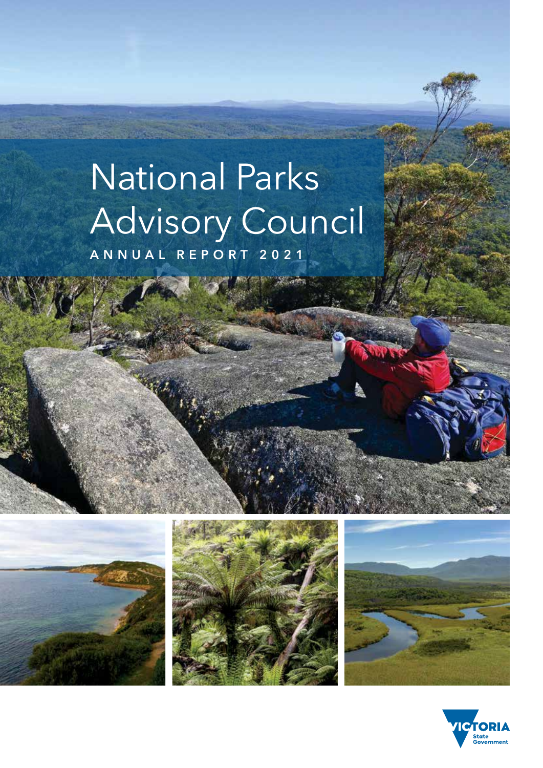# National Parks Advisory Council **ANNUAL REPORT 2021**







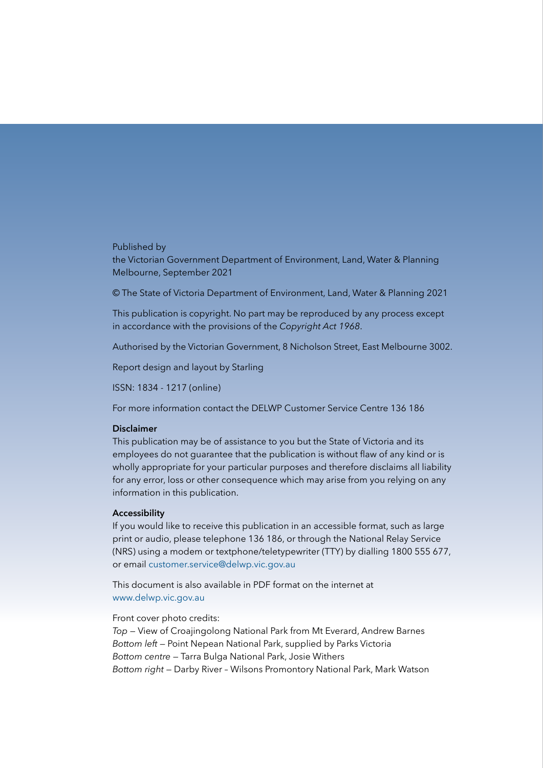# Published by

the Victorian Government Department of Environment, Land, Water & Planning Melbourne, September 2021

© The State of Victoria Department of Environment, Land, Water & Planning 2021

This publication is copyright. No part may be reproduced by any process except in accordance with the provisions of the *Copyright Act 1968*.

Authorised by the Victorian Government, 8 Nicholson Street, East Melbourne 3002.

Report design and layout by Starling

ISSN: 1834 - 1217 (online)

For more information contact the DELWP Customer Service Centre 136 186

#### **Disclaimer**

This publication may be of assistance to you but the State of Victoria and its employees do not guarantee that the publication is without flaw of any kind or is wholly appropriate for your particular purposes and therefore disclaims all liability for any error, loss or other consequence which may arise from you relying on any information in this publication.

### **Accessibility**

If you would like to receive this publication in an accessible format, such as large print or audio, please telephone 136 186, or through the National Relay Service (NRS) using a modem or textphone/teletypewriter (TTY) by dialling 1800 555 677, or email [customer.service@delwp.vic.gov.au](mailto:customer.service@delwp.vic.gov.au)

This document is also available in PDF format on the internet at [www.delwp.vic.gov.au](https://www.delwp.vic.gov.au)

Front cover photo credits:

*Top —* View of Croajingolong National Park from Mt Everard, Andrew Barnes *Bottom left —* Point Nepean National Park, supplied by Parks Victoria *Bottom centre —* Tarra Bulga National Park, Josie Withers *Bottom right —* Darby River – Wilsons Promontory National Park, Mark Watson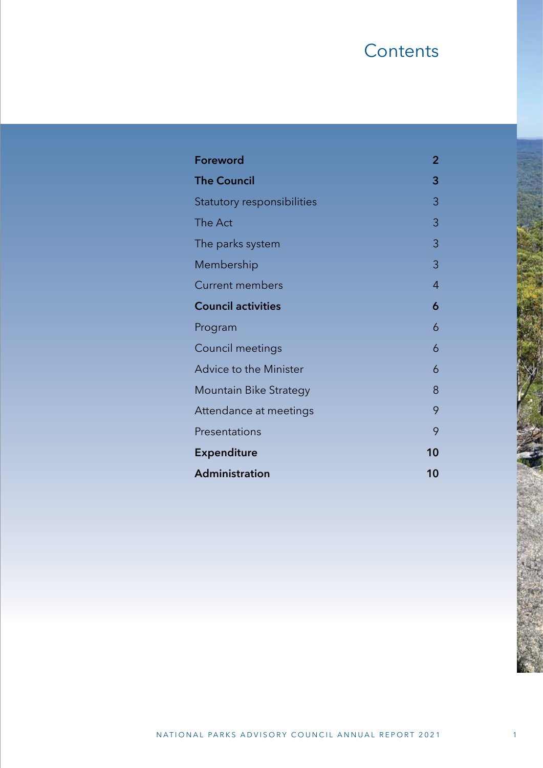# **Contents**

| Foreword                      | $\overline{2}$ |
|-------------------------------|----------------|
| <b>The Council</b>            | 3              |
| Statutory responsibilities    | 3              |
| The Act                       | 3              |
| The parks system              | 3              |
| Membership                    | 3              |
| <b>Current members</b>        | 4              |
| <b>Council activities</b>     | 6              |
| Program                       | 6              |
| <b>Council meetings</b>       | 6              |
| Advice to the Minister        | 6              |
| <b>Mountain Bike Strategy</b> | 8              |
| Attendance at meetings        | 9              |
| Presentations                 | 9              |
| <b>Expenditure</b>            | 10             |
| Administration                | 10             |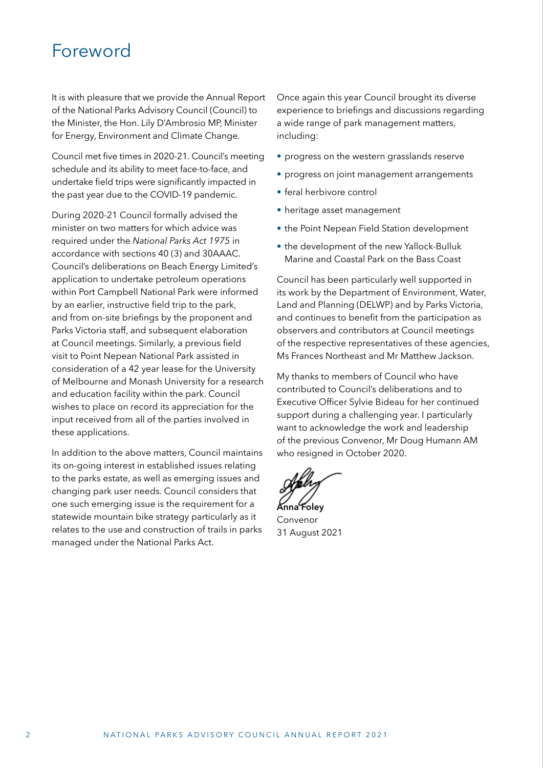# <span id="page-3-0"></span>Foreword

It is with pleasure that we provide the Annual Report of the National Parks Advisory Council (Council) to the Minister, the Hon. Lily D'Ambrosio MP, Minister for Energy, Environment and Climate Change.

Council met five times in 2020-21. Council's meeting schedule and its ability to meet face-to-face, and undertake field trips were significantly impacted in the past year due to the COVID-19 pandemic.

During 2020-21 Council formally advised the minister on two matters for which advice was required under the *National Parks Act 1975* in accordance with sections 40 (3) and 30AAAC. Council's deliberations on Beach Energy Limited's application to undertake petroleum operations within Port Campbell National Park were informed by an earlier, instructive field trip to the park, and from on-site briefings by the proponent and Parks Victoria staff, and subsequent elaboration at Council meetings. Similarly, a previous field visit to Point Nepean National Park assisted in consideration of a 42 year lease for the University of Melbourne and Monash University for a research and education facility within the park. Council wishes to place on record its appreciation for the input received from all of the parties involved in these applications.

In addition to the above matters, Council maintains its on-going interest in established issues relating to the parks estate, as well as emerging issues and changing park user needs. Council considers that one such emerging issue is the requirement for a statewide mountain bike strategy particularly as it relates to the use and construction of trails in parks managed under the National Parks Act.

Once again this year Council brought its diverse experience to briefings and discussions regarding a wide range of park management matters, including:

- progress on the western grasslands reserve
- progress on joint management arrangements
- feral herbivore control
- heritage asset management
- the Point Nepean Field Station development
- the development of the new Yallock-Bulluk Marine and Coastal Park on the Bass Coast

Council has been particularly well supported in its work by the Department of Environment, Water, Land and Planning (DELWP) and by Parks Victoria, and continues to benefit from the participation as observers and contributors at Council meetings of the respective representatives of these agencies, Ms Frances Northeast and Mr Matthew Jackson.

My thanks to members of Council who have contributed to Council's deliberations and to Executive Officer Sylvie Bideau for her continued support during a challenging year. I particularly want to acknowledge the work and leadership of the previous Convenor, Mr Doug Humann AM who resigned in October 2020.

**Anna Foley**

Convenor 31 August 2021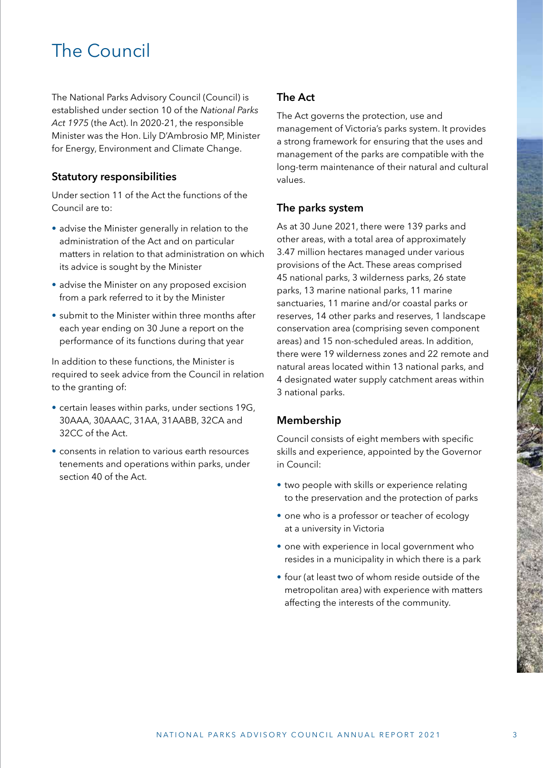# <span id="page-4-0"></span>The Council

The National Parks Advisory Council (Council) is established under section 10 of the *National Parks Act 1975* (the Act). In 2020-21, the responsible Minister was the Hon. Lily D'Ambrosio MP, Minister for Energy, Environment and Climate Change.

# **Statutory responsibilities**

Under section 11 of the Act the functions of the Council are to:

- advise the Minister generally in relation to the administration of the Act and on particular matters in relation to that administration on which its advice is sought by the Minister
- advise the Minister on any proposed excision from a park referred to it by the Minister
- submit to the Minister within three months after each year ending on 30 June a report on the performance of its functions during that year

In addition to these functions, the Minister is required to seek advice from the Council in relation to the granting of:

- certain leases within parks, under sections 19G, 30AAA, 30AAAC, 31AA, 31AABB, 32CA and 32CC of the Act.
- consents in relation to various earth resources tenements and operations within parks, under section 40 of the Act.

# **The Act**

The Act governs the protection, use and management of Victoria's parks system. It provides a strong framework for ensuring that the uses and management of the parks are compatible with the long-term maintenance of their natural and cultural values.

# **The parks system**

As at 30 June 2021, there were 139 parks and other areas, with a total area of approximately 3.47 million hectares managed under various provisions of the Act. These areas comprised 45 national parks, 3 wilderness parks, 26 state parks, 13 marine national parks, 11 marine sanctuaries, 11 marine and/or coastal parks or reserves, 14 other parks and reserves, 1 landscape conservation area (comprising seven component areas) and 15 non-scheduled areas. In addition, there were 19 wilderness zones and 22 remote and natural areas located within 13 national parks, and 4 designated water supply catchment areas within 3 national parks.

# **Membership**

Council consists of eight members with specific skills and experience, appointed by the Governor in Council:

- two people with skills or experience relating to the preservation and the protection of parks
- one who is a professor or teacher of ecology at a university in Victoria
- one with experience in local government who resides in a municipality in which there is a park
- four (at least two of whom reside outside of the metropolitan area) with experience with matters affecting the interests of the community.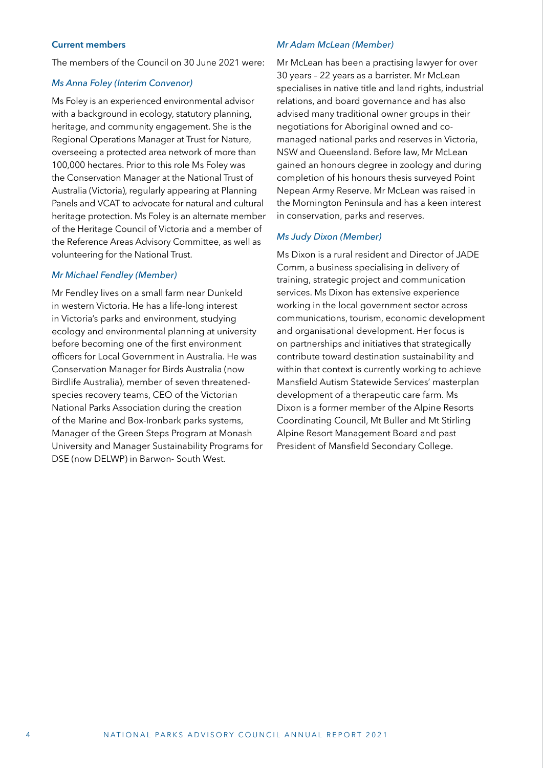## <span id="page-5-0"></span>**Current members**

The members of the Council on 30 June 2021 were:

#### *Ms Anna Foley (Interim Convenor)*

Ms Foley is an experienced environmental advisor with a background in ecology, statutory planning, heritage, and community engagement. She is the Regional Operations Manager at Trust for Nature, overseeing a protected area network of more than 100,000 hectares. Prior to this role Ms Foley was the Conservation Manager at the National Trust of Australia (Victoria), regularly appearing at Planning Panels and VCAT to advocate for natural and cultural heritage protection. Ms Foley is an alternate member of the Heritage Council of Victoria and a member of the Reference Areas Advisory Committee, as well as volunteering for the National Trust.

# *Mr Michael Fendley (Member)*

Mr Fendley lives on a small farm near Dunkeld in western Victoria. He has a life-long interest in Victoria's parks and environment, studying ecology and environmental planning at university before becoming one of the first environment officers for Local Government in Australia. He was Conservation Manager for Birds Australia (now Birdlife Australia), member of seven threatenedspecies recovery teams, CEO of the Victorian National Parks Association during the creation of the Marine and Box-Ironbark parks systems, Manager of the Green Steps Program at Monash University and Manager Sustainability Programs for DSE (now DELWP) in Barwon- South West.

#### *Mr Adam McLean (Member)*

Mr McLean has been a practising lawyer for over 30 years – 22 years as a barrister. Mr McLean specialises in native title and land rights, industrial relations, and board governance and has also advised many traditional owner groups in their negotiations for Aboriginal owned and comanaged national parks and reserves in Victoria, NSW and Queensland. Before law, Mr McLean gained an honours degree in zoology and during completion of his honours thesis surveyed Point Nepean Army Reserve. Mr McLean was raised in the Mornington Peninsula and has a keen interest in conservation, parks and reserves.

#### *Ms Judy Dixon (Member)*

Ms Dixon is a rural resident and Director of JADE Comm, a business specialising in delivery of training, strategic project and communication services. Ms Dixon has extensive experience working in the local government sector across communications, tourism, economic development and organisational development. Her focus is on partnerships and initiatives that strategically contribute toward destination sustainability and within that context is currently working to achieve Mansfield Autism Statewide Services' masterplan development of a therapeutic care farm. Ms Dixon is a former member of the Alpine Resorts Coordinating Council, Mt Buller and Mt Stirling Alpine Resort Management Board and past President of Mansfield Secondary College.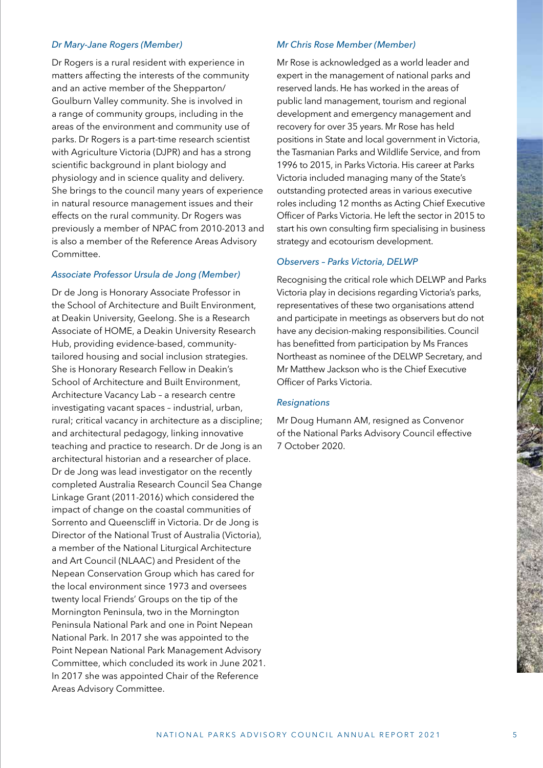#### *Dr Mary-Jane Rogers (Member)*

Dr Rogers is a rural resident with experience in matters affecting the interests of the community and an active member of the Shepparton/ Goulburn Valley community. She is involved in a range of community groups, including in the areas of the environment and community use of parks. Dr Rogers is a part-time research scientist with Agriculture Victoria (DJPR) and has a strong scientific background in plant biology and physiology and in science quality and delivery. She brings to the council many years of experience in natural resource management issues and their effects on the rural community. Dr Rogers was previously a member of NPAC from 2010-2013 and is also a member of the Reference Areas Advisory Committee.

### *Associate Professor Ursula de Jong (Member)*

Dr de Jong is Honorary Associate Professor in the School of Architecture and Built Environment, at Deakin University, Geelong. She is a Research Associate of HOME, a Deakin University Research Hub, providing evidence-based, communitytailored housing and social inclusion strategies. She is Honorary Research Fellow in Deakin's School of Architecture and Built Environment, Architecture Vacancy Lab – a research centre investigating vacant spaces – industrial, urban, rural; critical vacancy in architecture as a discipline; and architectural pedagogy, linking innovative teaching and practice to research. Dr de Jong is an architectural historian and a researcher of place. Dr de Jong was lead investigator on the recently completed Australia Research Council Sea Change Linkage Grant (2011-2016) which considered the impact of change on the coastal communities of Sorrento and Queenscliff in Victoria. Dr de Jong is Director of the National Trust of Australia (Victoria), a member of the National Liturgical Architecture and Art Council (NLAAC) and President of the Nepean Conservation Group which has cared for the local environment since 1973 and oversees twenty local Friends' Groups on the tip of the Mornington Peninsula, two in the Mornington Peninsula National Park and one in Point Nepean National Park. In 2017 she was appointed to the Point Nepean National Park Management Advisory Committee, which concluded its work in June 2021. In 2017 she was appointed Chair of the Reference Areas Advisory Committee.

### *Mr Chris Rose Member (Member)*

Mr Rose is acknowledged as a world leader and expert in the management of national parks and reserved lands. He has worked in the areas of public land management, tourism and regional development and emergency management and recovery for over 35 years. Mr Rose has held positions in State and local government in Victoria, the Tasmanian Parks and Wildlife Service, and from 1996 to 2015, in Parks Victoria. His career at Parks Victoria included managing many of the State's outstanding protected areas in various executive roles including 12 months as Acting Chief Executive Officer of Parks Victoria. He left the sector in 2015 to start his own consulting firm specialising in business strategy and ecotourism development.

#### *Observers – Parks Victoria, DELWP*

Recognising the critical role which DELWP and Parks Victoria play in decisions regarding Victoria's parks, representatives of these two organisations attend and participate in meetings as observers but do not have any decision-making responsibilities. Council has benefitted from participation by Ms Frances Northeast as nominee of the DELWP Secretary, and Mr Matthew Jackson who is the Chief Executive Officer of Parks Victoria.

#### *Resignations*

Mr Doug Humann AM, resigned as Convenor of the National Parks Advisory Council effective 7 October 2020.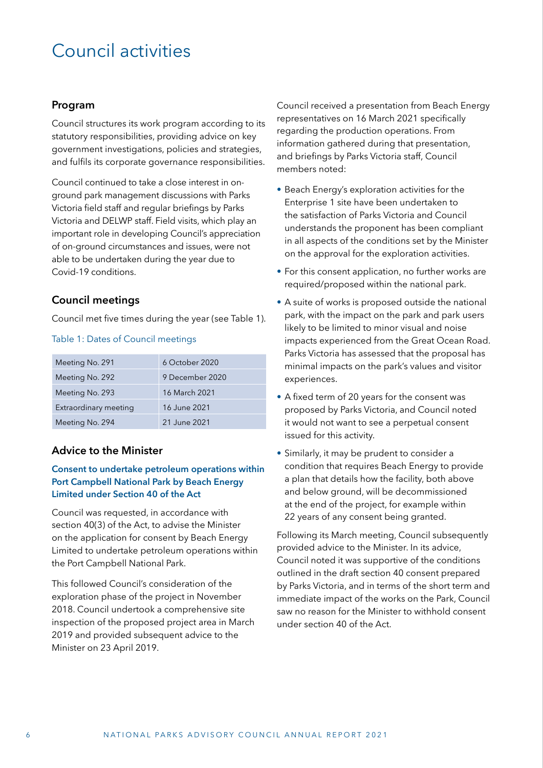# <span id="page-7-0"></span>Council activities

# **Program**

Council structures its work program according to its statutory responsibilities, providing advice on key government investigations, policies and strategies, and fulfils its corporate governance responsibilities.

Council continued to take a close interest in onground park management discussions with Parks Victoria field staff and regular briefings by Parks Victoria and DELWP staff. Field visits, which play an important role in developing Council's appreciation of on-ground circumstances and issues, were not able to be undertaken during the year due to Covid-19 conditions.

# **Council meetings**

Council met five times during the year (see Table 1).

### Table 1: Dates of Council meetings

| Meeting No. 291       | 6 October 2020  |
|-----------------------|-----------------|
| Meeting No. 292       | 9 December 2020 |
| Meeting No. 293       | 16 March 2021   |
| Extraordinary meeting | 16 June 2021    |
| Meeting No. 294       | 21 June 2021    |

# **Advice to the Minister**

# **Consent to undertake petroleum operations within Port Campbell National Park by Beach Energy Limited under Section 40 of the Act**

Council was requested, in accordance with section 40(3) of the Act, to advise the Minister on the application for consent by Beach Energy Limited to undertake petroleum operations within the Port Campbell National Park.

This followed Council's consideration of the exploration phase of the project in November 2018. Council undertook a comprehensive site inspection of the proposed project area in March 2019 and provided subsequent advice to the Minister on 23 April 2019.

Council received a presentation from Beach Energy representatives on 16 March 2021 specifically regarding the production operations. From information gathered during that presentation, and briefings by Parks Victoria staff, Council members noted:

- Beach Energy's exploration activities for the Enterprise 1 site have been undertaken to the satisfaction of Parks Victoria and Council understands the proponent has been compliant in all aspects of the conditions set by the Minister on the approval for the exploration activities.
- For this consent application, no further works are required/proposed within the national park.
- A suite of works is proposed outside the national park, with the impact on the park and park users likely to be limited to minor visual and noise impacts experienced from the Great Ocean Road. Parks Victoria has assessed that the proposal has minimal impacts on the park's values and visitor experiences.
- A fixed term of 20 years for the consent was proposed by Parks Victoria, and Council noted it would not want to see a perpetual consent issued for this activity.
- Similarly, it may be prudent to consider a condition that requires Beach Energy to provide a plan that details how the facility, both above and below ground, will be decommissioned at the end of the project, for example within 22 years of any consent being granted.

Following its March meeting, Council subsequently provided advice to the Minister. In its advice, Council noted it was supportive of the conditions outlined in the draft section 40 consent prepared by Parks Victoria, and in terms of the short term and immediate impact of the works on the Park, Council saw no reason for the Minister to withhold consent under section 40 of the Act.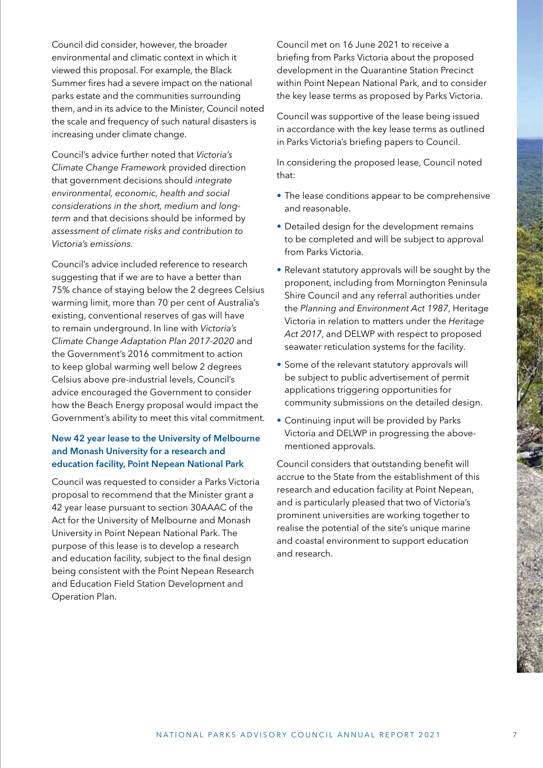Council did consider, however, the broader environmental and climatic context in which it viewed this proposal. For example, the Black Summer fires had a severe impact on the national parks estate and the communities surrounding them, and in its advice to the Minister, Council noted the scale and frequency of such natural disasters is increasing under climate change.

Council's advice further noted that *Victoria's Climate Change Framework* provided direction that government decisions should *integrate environmental, economic, health and social considerations in the short, medium and longterm* and that decisions should be informed by *assessment of climate risks and contribution to Victoria's emissions.*

Council's advice included reference to research suggesting that if we are to have a better than 75% chance of staying below the 2 degrees Celsius warming limit, more than 70 per cent of Australia's existing, conventional reserves of gas will have to remain underground. In line with *Victoria's Climate Change Adaptation Plan 2017-2020* and the Government's 2016 commitment to action to keep global warming well below 2 degrees Celsius above pre-industrial levels, Council's advice encouraged the Government to consider how the Beach Energy proposal would impact the Government's ability to meet this vital commitment.

# **New 42 year lease to the University of Melbourne and Monash University for a research and education facility, Point Nepean National Park**

Council was requested to consider a Parks Victoria proposal to recommend that the Minister grant a 42 year lease pursuant to section 30AAAC of the Act for the University of Melbourne and Monash University in Point Nepean National Park. The purpose of this lease is to develop a research and education facility, subject to the final design being consistent with the Point Nepean Research and Education Field Station Development and Operation Plan.

Council met on 16 June 2021 to receive a briefing from Parks Victoria about the proposed development in the Quarantine Station Precinct within Point Nepean National Park, and to consider the key lease terms as proposed by Parks Victoria.

Council was supportive of the lease being issued in accordance with the key lease terms as outlined in Parks Victoria's briefing papers to Council.

In considering the proposed lease, Council noted that:

- The lease conditions appear to be comprehensive and reasonable.
- Detailed design for the development remains to be completed and will be subject to approval from Parks Victoria.
- Relevant statutory approvals will be sought by the proponent, including from Mornington Peninsula Shire Council and any referral authorities under the *Planning and Environment Act 1987*, Heritage Victoria in relation to matters under the *Heritage Act 2017*, and DELWP with respect to proposed seawater reticulation systems for the facility.
- Some of the relevant statutory approvals will be subject to public advertisement of permit applications triggering opportunities for community submissions on the detailed design.
- Continuing input will be provided by Parks Victoria and DELWP in progressing the abovementioned approvals.

Council considers that outstanding benefit will accrue to the State from the establishment of this research and education facility at Point Nepean, and is particularly pleased that two of Victoria's prominent universities are working together to realise the potential of the site's unique marine and coastal environment to support education and research.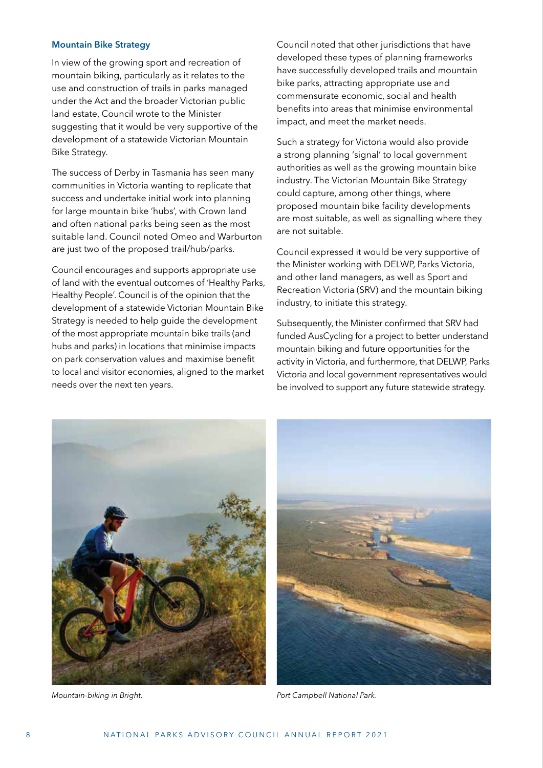#### <span id="page-9-0"></span>**Mountain Bike Strategy**

In view of the growing sport and recreation of mountain biking, particularly as it relates to the use and construction of trails in parks managed under the Act and the broader Victorian public land estate, Council wrote to the Minister suggesting that it would be very supportive of the development of a statewide Victorian Mountain Bike Strategy.

The success of Derby in Tasmania has seen many communities in Victoria wanting to replicate that success and undertake initial work into planning for large mountain bike 'hubs', with Crown land and often national parks being seen as the most suitable land. Council noted Omeo and Warburton are just two of the proposed trail/hub/parks.

Council encourages and supports appropriate use of land with the eventual outcomes of 'Healthy Parks, Healthy People'. Council is of the opinion that the development of a statewide Victorian Mountain Bike Strategy is needed to help guide the development of the most appropriate mountain bike trails (and hubs and parks) in locations that minimise impacts on park conservation values and maximise benefit to local and visitor economies, aligned to the market needs over the next ten years.

Council noted that other jurisdictions that have developed these types of planning frameworks have successfully developed trails and mountain bike parks, attracting appropriate use and commensurate economic, social and health benefits into areas that minimise environmental impact, and meet the market needs.

Such a strategy for Victoria would also provide a strong planning 'signal' to local government authorities as well as the growing mountain bike industry. The Victorian Mountain Bike Strategy could capture, among other things, where proposed mountain bike facility developments are most suitable, as well as signalling where they are not suitable.

Council expressed it would be very supportive of the Minister working with DELWP, Parks Victoria, and other land managers, as well as Sport and Recreation Victoria (SRV) and the mountain biking industry, to initiate this strategy.

Subsequently, the Minister confirmed that SRV had funded AusCycling for a project to better understand mountain biking and future opportunities for the activity in Victoria, and furthermore, that DELWP, Parks Victoria and local government representatives would be involved to support any future statewide strategy.





*Mountain-biking in Bright. Port Campbell National Park.*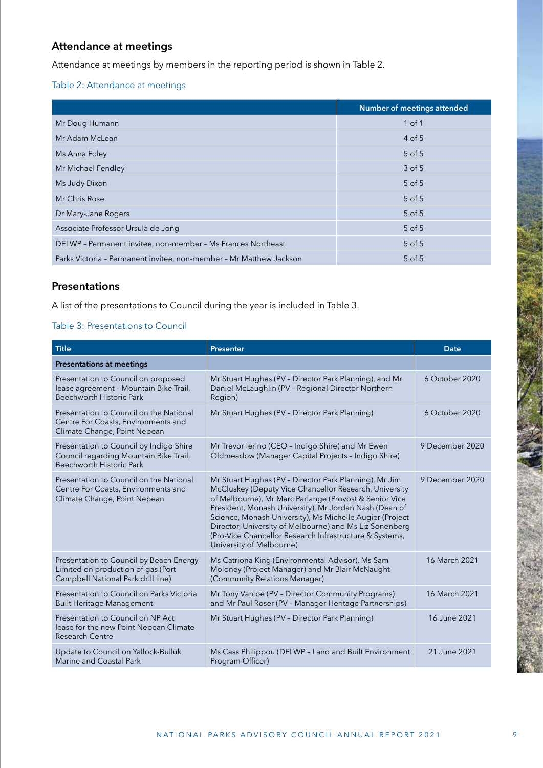# <span id="page-10-0"></span>**Attendance at meetings**

Attendance at meetings by members in the reporting period is shown in Table 2.

# Table 2: Attendance at meetings

|                                                                     | <b>Number of meetings attended</b> |
|---------------------------------------------------------------------|------------------------------------|
| Mr Doug Humann                                                      | $1$ of $1$                         |
| Mr Adam McLean                                                      | $4$ of 5                           |
| Ms Anna Foley                                                       | $5$ of $5$                         |
| Mr Michael Fendley                                                  | $3$ of 5                           |
| Ms Judy Dixon                                                       | $5$ of $5$                         |
| Mr Chris Rose                                                       | $5$ of $5$                         |
| Dr Mary-Jane Rogers                                                 | $5$ of $5$                         |
| Associate Professor Ursula de Jong                                  | $5$ of $5$                         |
| DELWP - Permanent invitee, non-member - Ms Frances Northeast        | $5$ of $5$                         |
| Parks Victoria - Permanent invitee, non-member - Mr Matthew Jackson | $5$ of $5$                         |

# **Presentations**

A list of the presentations to Council during the year is included in Table 3.

# Table 3: Presentations to Council

| <b>Title</b>                                                                                                        | <b>Presenter</b>                                                                                                                                                                                                                                                                                                                                                                                                                                   | <b>Date</b>     |
|---------------------------------------------------------------------------------------------------------------------|----------------------------------------------------------------------------------------------------------------------------------------------------------------------------------------------------------------------------------------------------------------------------------------------------------------------------------------------------------------------------------------------------------------------------------------------------|-----------------|
| <b>Presentations at meetings</b>                                                                                    |                                                                                                                                                                                                                                                                                                                                                                                                                                                    |                 |
| Presentation to Council on proposed<br>lease agreement - Mountain Bike Trail,<br>Beechworth Historic Park           | Mr Stuart Hughes (PV - Director Park Planning), and Mr<br>Daniel McLaughlin (PV - Regional Director Northern<br>Region)                                                                                                                                                                                                                                                                                                                            | 6 October 2020  |
| Presentation to Council on the National<br>Centre For Coasts, Environments and<br>Climate Change, Point Nepean      | Mr Stuart Hughes (PV - Director Park Planning)                                                                                                                                                                                                                                                                                                                                                                                                     | 6 October 2020  |
| Presentation to Council by Indigo Shire<br>Council regarding Mountain Bike Trail,<br>Beechworth Historic Park       | Mr Trevor lerino (CEO - Indigo Shire) and Mr Ewen<br>Oldmeadow (Manager Capital Projects - Indigo Shire)                                                                                                                                                                                                                                                                                                                                           | 9 December 2020 |
| Presentation to Council on the National<br>Centre For Coasts, Environments and<br>Climate Change, Point Nepean      | Mr Stuart Hughes (PV - Director Park Planning), Mr Jim<br>McCluskey (Deputy Vice Chancellor Research, University<br>of Melbourne), Mr Marc Parlange (Provost & Senior Vice<br>President, Monash University), Mr Jordan Nash (Dean of<br>Science, Monash University), Ms Michelle Augier (Project<br>Director, University of Melbourne) and Ms Liz Sonenberg<br>(Pro-Vice Chancellor Research Infrastructure & Systems,<br>University of Melbourne) | 9 December 2020 |
| Presentation to Council by Beach Energy<br>Limited on production of gas (Port<br>Campbell National Park drill line) | Ms Catriona King (Environmental Advisor), Ms Sam<br>Moloney (Project Manager) and Mr Blair McNaught<br>(Community Relations Manager)                                                                                                                                                                                                                                                                                                               | 16 March 2021   |
| Presentation to Council on Parks Victoria<br><b>Built Heritage Management</b>                                       | Mr Tony Varcoe (PV - Director Community Programs)<br>and Mr Paul Roser (PV - Manager Heritage Partnerships)                                                                                                                                                                                                                                                                                                                                        | 16 March 2021   |
| Presentation to Council on NP Act<br>lease for the new Point Nepean Climate<br>Research Centre                      | Mr Stuart Hughes (PV - Director Park Planning)                                                                                                                                                                                                                                                                                                                                                                                                     | 16 June 2021    |
| Update to Council on Yallock-Bulluk<br>Marine and Coastal Park                                                      | Ms Cass Philippou (DELWP - Land and Built Environment<br>Program Officer)                                                                                                                                                                                                                                                                                                                                                                          | 21 June 2021    |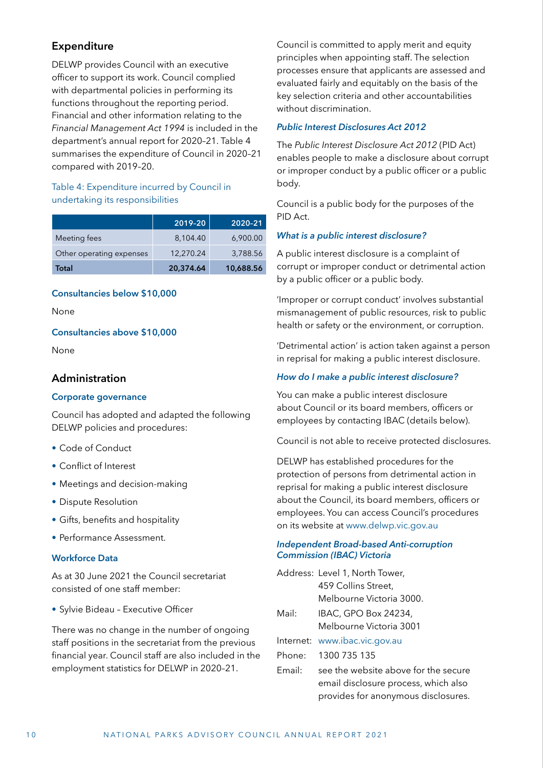# <span id="page-11-0"></span>**Expenditure**

DELWP provides Council with an executive officer to support its work. Council complied with departmental policies in performing its functions throughout the reporting period. Financial and other information relating to the *Financial Management Act 1994* is included in the department's annual report for 2020–21. Table 4 summarises the expenditure of Council in 2020–21 compared with 2019–20.

# Table 4: Expenditure incurred by Council in undertaking its responsibilities

|                          | 2019-20   | 2020-21   |
|--------------------------|-----------|-----------|
| Meeting fees             | 8.104.40  | 6,900.00  |
| Other operating expenses | 12.270.24 | 3.788.56  |
| Total                    | 20,374.64 | 10,688.56 |

# **Consultancies below \$10,000**

None

### **Consultancies above \$10,000**

None

# **Administration**

#### **Corporate governance**

Council has adopted and adapted the following DELWP policies and procedures:

- Code of Conduct
- Conflict of Interest
- Meetings and decision-making
- Dispute Resolution
- Gifts, benefits and hospitality
- Performance Assessment.

# **Workforce Data**

As at 30 June 2021 the Council secretariat consisted of one staff member:

• Sylvie Bideau – Executive Officer

There was no change in the number of ongoing staff positions in the secretariat from the previous financial year. Council staff are also included in the employment statistics for DELWP in 2020–21.

Council is committed to apply merit and equity principles when appointing staff. The selection processes ensure that applicants are assessed and evaluated fairly and equitably on the basis of the key selection criteria and other accountabilities without discrimination.

# *Public Interest Disclosures Act 2012*

The *Public Interest Disclosure Act 2012* (PID Act) enables people to make a disclosure about corrupt or improper conduct by a public officer or a public body.

Council is a public body for the purposes of the PID Act.

# *What is a public interest disclosure?*

A public interest disclosure is a complaint of corrupt or improper conduct or detrimental action by a public officer or a public body.

'Improper or corrupt conduct' involves substantial mismanagement of public resources, risk to public health or safety or the environment, or corruption.

'Detrimental action' is action taken against a person in reprisal for making a public interest disclosure.

### *How do I make a public interest disclosure?*

You can make a public interest disclosure about Council or its board members, officers or employees by contacting IBAC (details below).

Council is not able to receive protected disclosures.

DELWP has established procedures for the protection of persons from detrimental action in reprisal for making a public interest disclosure about the Council, its board members, officers or employees. You can access Council's procedures on its website at [www.delwp.vic.gov.au](https://www.delwp.vic.gov.au)

# *Independent Broad-based Anti-corruption Commission (IBAC) Victoria*

|        | Address: Level 1, North Tower,       |
|--------|--------------------------------------|
|        | 459 Collins Street,                  |
|        | Melbourne Victoria 3000.             |
| Mail:  | IBAC, GPO Box 24234,                 |
|        | Melbourne Victoria 3001              |
|        | Internet: www.ibac.vic.gov.au        |
| Phone: | 1300 735 135                         |
| Email: | see the website above for the secure |
|        | email disclosure process, which also |
|        | provides for anonymous disclosures.  |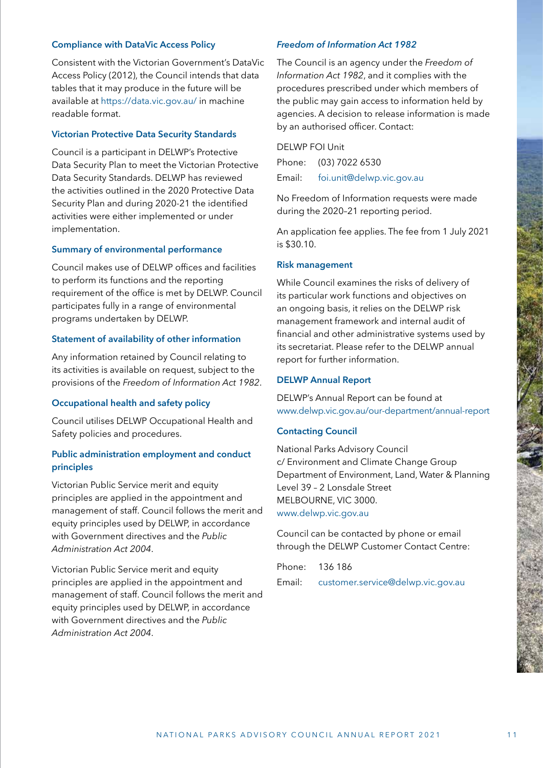# **Compliance with DataVic Access Policy**

Consistent with the Victorian Government's DataVic Access Policy (2012), the Council intends that data tables that it may produce in the future will be available at <https://data.vic.gov.au/>in machine readable format.

# **Victorian Protective Data Security Standards**

Council is a participant in DELWP's Protective Data Security Plan to meet the Victorian Protective Data Security Standards. DELWP has reviewed the activities outlined in the 2020 Protective Data Security Plan and during 2020-21 the identified activities were either implemented or under implementation.

#### **Summary of environmental performance**

Council makes use of DELWP offices and facilities to perform its functions and the reporting requirement of the office is met by DELWP. Council participates fully in a range of environmental programs undertaken by DELWP.

#### **Statement of availability of other information**

Any information retained by Council relating to its activities is available on request, subject to the provisions of the *Freedom of Information Act 1982*.

# **Occupational health and safety policy**

Council utilises DELWP Occupational Health and Safety policies and procedures.

# **Public administration employment and conduct principles**

Victorian Public Service merit and equity principles are applied in the appointment and management of staff. Council follows the merit and equity principles used by DELWP, in accordance with Government directives and the *Public Administration Act 2004*.

Victorian Public Service merit and equity principles are applied in the appointment and management of staff. Council follows the merit and equity principles used by DELWP, in accordance with Government directives and the *Public Administration Act 2004*.

# *Freedom of Information Act 1982*

The Council is an agency under the *Freedom of Information Act 1982*, and it complies with the procedures prescribed under which members of the public may gain access to information held by agencies. A decision to release information is made by an authorised officer. Contact:

DELWP FOI Unit Phone: (03) 7022 6530 Email: [foi.unit@delwp.vic.gov.au](mailto:foi.unit@delwp.vic.gov.au)

No Freedom of Information requests were made during the 2020–21 reporting period.

An application fee applies. The fee from 1 July 2021 is \$30.10.

#### **Risk management**

While Council examines the risks of delivery of its particular work functions and objectives on an ongoing basis, it relies on the DELWP risk management framework and internal audit of financial and other administrative systems used by its secretariat. Please refer to the DELWP annual report for further information.

#### **DELWP Annual Report**

DELWP's Annual Report can be found at [www.delwp.vic.gov.au/our-department/annual-report](https://www.delwp.vic.gov.au/our-department/annual-report)

#### **Contacting Council**

National Parks Advisory Council c/ Environment and Climate Change Group Department of Environment, Land, Water & Planning Level 39 – 2 Lonsdale Street MELBOURNE, VIC 3000. [www.delwp.vic.gov.au](https://www.delwp.vic.gov.au)

Council can be contacted by phone or email through the DELWP Customer Contact Centre:

Phone: 136 186

Email: [customer.service@delwp.vic.gov.au](mailto:customer.service@delwp.vic.gov.au)